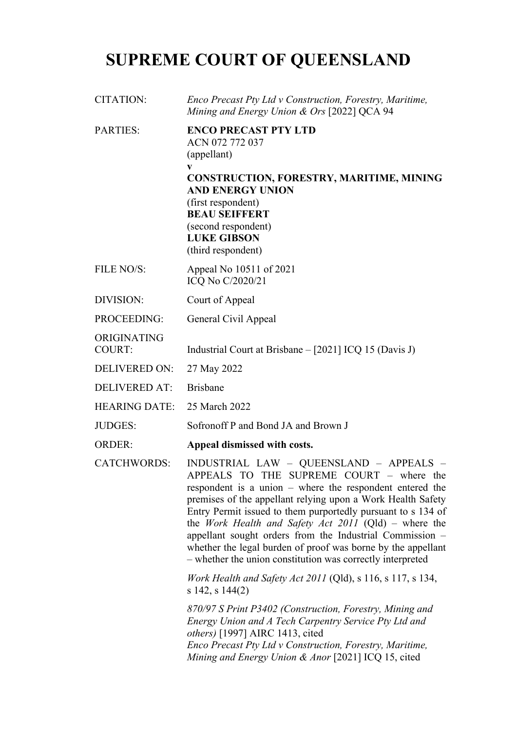## **SUPREME COURT OF QUEENSLAND**

| CITATION:                    | Enco Precast Pty Ltd v Construction, Forestry, Maritime,<br>Mining and Energy Union & Ors [2022] QCA 94                                                                                                                                                                                                                                                                                                                                                                                                                                    |
|------------------------------|--------------------------------------------------------------------------------------------------------------------------------------------------------------------------------------------------------------------------------------------------------------------------------------------------------------------------------------------------------------------------------------------------------------------------------------------------------------------------------------------------------------------------------------------|
| PARTIES:                     | <b>ENCO PRECAST PTY LTD</b><br>ACN 072 772 037<br>(appellant)<br>V<br><b>CONSTRUCTION, FORESTRY, MARITIME, MINING</b><br><b>AND ENERGY UNION</b><br>(first respondent)<br><b>BEAU SEIFFERT</b><br>(second respondent)<br><b>LUKE GIBSON</b><br>(third respondent)                                                                                                                                                                                                                                                                          |
| FILE NO/S:                   | Appeal No 10511 of 2021<br>ICQ No C/2020/21                                                                                                                                                                                                                                                                                                                                                                                                                                                                                                |
| DIVISION:                    | Court of Appeal                                                                                                                                                                                                                                                                                                                                                                                                                                                                                                                            |
| PROCEEDING:                  | General Civil Appeal                                                                                                                                                                                                                                                                                                                                                                                                                                                                                                                       |
| ORIGINATING<br><b>COURT:</b> | Industrial Court at Brisbane – [2021] ICQ 15 (Davis J)                                                                                                                                                                                                                                                                                                                                                                                                                                                                                     |
| <b>DELIVERED ON:</b>         | 27 May 2022                                                                                                                                                                                                                                                                                                                                                                                                                                                                                                                                |
| <b>DELIVERED AT:</b>         | <b>Brisbane</b>                                                                                                                                                                                                                                                                                                                                                                                                                                                                                                                            |
| <b>HEARING DATE:</b>         | 25 March 2022                                                                                                                                                                                                                                                                                                                                                                                                                                                                                                                              |
| <b>JUDGES:</b>               | Sofronoff P and Bond JA and Brown J                                                                                                                                                                                                                                                                                                                                                                                                                                                                                                        |
| <b>ORDER:</b>                | Appeal dismissed with costs.                                                                                                                                                                                                                                                                                                                                                                                                                                                                                                               |
| <b>CATCHWORDS:</b>           | INDUSTRIAL LAW - QUEENSLAND - APPEALS -<br>APPEALS TO THE SUPREME COURT - where the<br>respondent is a union $-$ where the respondent entered the<br>premises of the appellant relying upon a Work Health Safety<br>Entry Permit issued to them purportedly pursuant to s 134 of<br>the <i>Work Health and Safety Act 2011</i> (Qld) – where the<br>appellant sought orders from the Industrial Commission -<br>whether the legal burden of proof was borne by the appellant<br>- whether the union constitution was correctly interpreted |
|                              | Work Health and Safety Act 2011 (Qld), s 116, s 117, s 134,<br>$s$ 142, $s$ 144(2)                                                                                                                                                                                                                                                                                                                                                                                                                                                         |
|                              | 870/97 S Print P3402 (Construction, Forestry, Mining and<br>Energy Union and A Tech Carpentry Service Pty Ltd and<br><i>others</i> ) [1997] AIRC 1413, cited<br>Enco Precast Pty Ltd v Construction, Forestry, Maritime,<br>Mining and Energy Union & Anor [2021] ICQ 15, cited                                                                                                                                                                                                                                                            |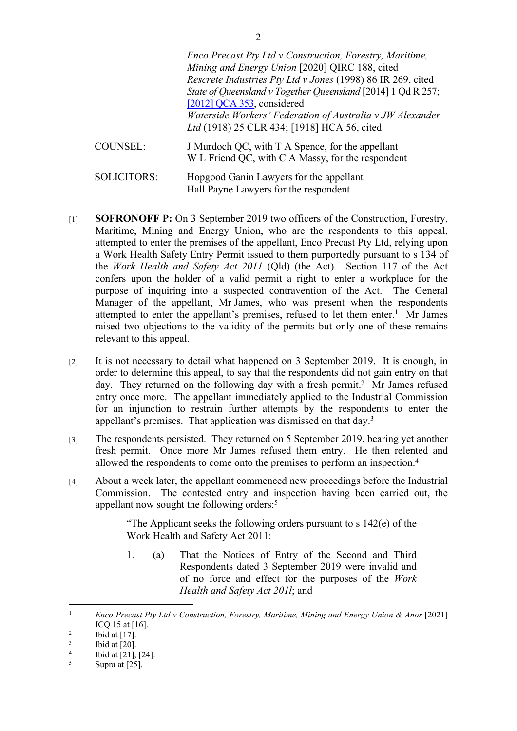|                 | Enco Precast Pty Ltd v Construction, Forestry, Maritime,<br>Mining and Energy Union [2020] QIRC 188, cited |
|-----------------|------------------------------------------------------------------------------------------------------------|
|                 | Rescrete Industries Pty Ltd v Jones (1998) 86 IR 269, cited                                                |
|                 | State of Queensland v Together Queensland [2014] 1 Qd R 257;                                               |
|                 | [2012] QCA 353, considered                                                                                 |
|                 | Waterside Workers' Federation of Australia v JW Alexander                                                  |
|                 | Ltd (1918) 25 CLR 434; [1918] HCA 56, cited                                                                |
| <b>COUNSEL:</b> | J Murdoch QC, with T A Spence, for the appellant<br>W L Friend QC, with C A Massy, for the respondent      |

SOLICITORS: Hopgood Ganin Lawyers for the appellant Hall Payne Lawyers for the respondent

- [1] **SOFRONOFF P:** On 3 September 2019 two officers of the Construction, Forestry, Maritime, Mining and Energy Union, who are the respondents to this appeal, attempted to enter the premises of the appellant, Enco Precast Pty Ltd, relying upon a Work Health Safety Entry Permit issued to them purportedly pursuant to s 134 of the *Work Health and Safety Act 2011* (Qld) (the Act)*.* Section 117 of the Act confers upon the holder of a valid permit a right to enter a workplace for the purpose of inquiring into a suspected contravention of the Act. The General Manager of the appellant, Mr James, who was present when the respondents attempted to enter the appellant's premises, refused to let them enter.<sup>1</sup> Mr James raised two objections to the validity of the permits but only one of these remains relevant to this appeal.
- [2] It is not necessary to detail what happened on 3 September 2019. It is enough, in order to determine this appeal, to say that the respondents did not gain entry on that day. They returned on the following day with a fresh permit.<sup>2</sup> Mr James refused entry once more. The appellant immediately applied to the Industrial Commission for an injunction to restrain further attempts by the respondents to enter the appellant's premises. That application was dismissed on that day.<sup>3</sup>
- [3] The respondents persisted. They returned on 5 September 2019, bearing yet another fresh permit. Once more Mr James refused them entry. He then relented and allowed the respondents to come onto the premises to perform an inspection.<sup>4</sup>
- [4] About a week later, the appellant commenced new proceedings before the Industrial Commission. The contested entry and inspection having been carried out, the appellant now sought the following orders:<sup>5</sup>

"The Applicant seeks the following orders pursuant to s 142(e) of the Work Health and Safety Act 2011:

1. (a) That the Notices of Entry of the Second and Third Respondents dated 3 September 2019 were invalid and of no force and effect for the purposes of the *Work Health and Safety Act 201l*; and

<sup>1</sup> *Enco Precast Pty Ltd v Construction, Forestry, Maritime, Mining and Energy Union & Anor* [2021] ICQ 15 at [16].

 $\overline{2}$ Ibid at [17].

<sup>3</sup> Ibid at [20].

<sup>4</sup> Ibid at [21], [24].

<sup>5</sup> Supra at [25].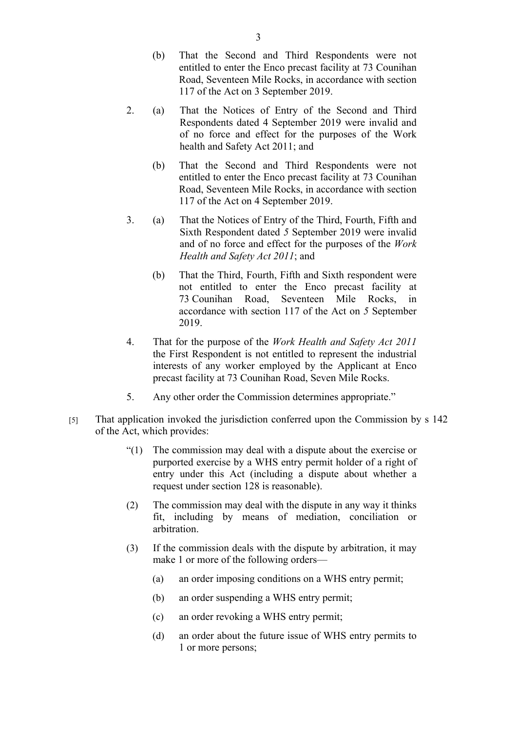- (b) That the Second and Third Respondents were not entitled to enter the Enco precast facility at 73 Counihan Road, Seventeen Mile Rocks, in accordance with section 117 of the Act on 3 September 2019.
- 2. (a) That the Notices of Entry of the Second and Third Respondents dated 4 September 2019 were invalid and of no force and effect for the purposes of the Work health and Safety Act 2011; and
	- (b) That the Second and Third Respondents were not entitled to enter the Enco precast facility at 73 Counihan Road, Seventeen Mile Rocks, in accordance with section 117 of the Act on 4 September 2019.
- 3. (a) That the Notices of Entry of the Third, Fourth, Fifth and Sixth Respondent dated *5* September 2019 were invalid and of no force and effect for the purposes of the *Work Health and Safety Act 2011*; and
	- (b) That the Third, Fourth, Fifth and Sixth respondent were not entitled to enter the Enco precast facility at 73 Counihan Road, Seventeen Mile Rocks, in accordance with section 117 of the Act on *5* September 2019.
- 4. That for the purpose of the *Work Health and Safety Act 2011*  the First Respondent is not entitled to represent the industrial interests of any worker employed by the Applicant at Enco precast facility at 73 Counihan Road, Seven Mile Rocks.
- 5. Any other order the Commission determines appropriate."
- [5] That application invoked the jurisdiction conferred upon the Commission by s 142 of the Act, which provides:
	- "(1) The commission may deal with a dispute about the exercise or purported exercise by a WHS entry permit holder of a right of entry under this Act (including a dispute about whether a request under section 128 is reasonable).
	- (2) The commission may deal with the dispute in any way it thinks fit, including by means of mediation, conciliation or arbitration.
	- (3) If the commission deals with the dispute by arbitration, it may make 1 or more of the following orders—
		- (a) an order imposing conditions on a WHS entry permit;
		- (b) an order suspending a WHS entry permit;
		- (c) an order revoking a WHS entry permit;
		- (d) an order about the future issue of WHS entry permits to 1 or more persons;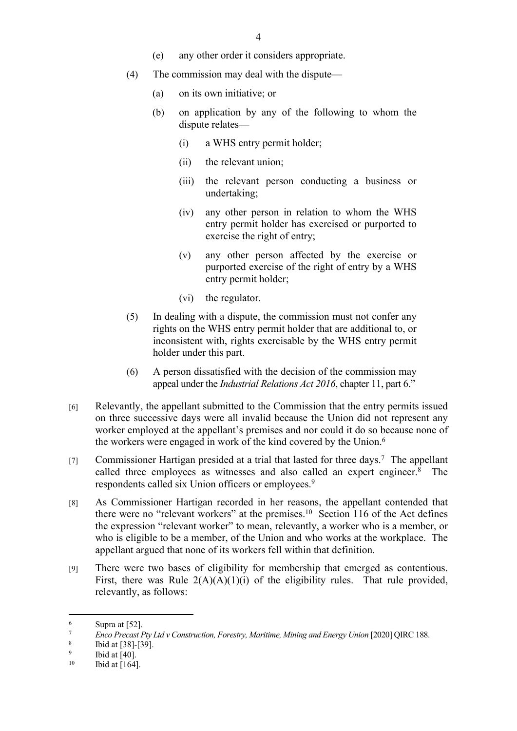- (e) any other order it considers appropriate.
- (4) The commission may deal with the dispute—
	- (a) on its own initiative; or
	- (b) on application by any of the following to whom the dispute relates—
		- (i) a WHS entry permit holder;
		- (ii) the relevant union;
		- (iii) the relevant person conducting a business or undertaking;
		- (iv) any other person in relation to whom the WHS entry permit holder has exercised or purported to exercise the right of entry;
		- (v) any other person affected by the exercise or purported exercise of the right of entry by a WHS entry permit holder;
		- (vi) the regulator.
- (5) In dealing with a dispute, the commission must not confer any rights on the WHS entry permit holder that are additional to, or inconsistent with, rights exercisable by the WHS entry permit holder under this part.
- (6) A person dissatisfied with the decision of the commission may appeal under the *Industrial Relations Act 2016*, chapter 11, part 6."
- [6] Relevantly, the appellant submitted to the Commission that the entry permits issued on three successive days were all invalid because the Union did not represent any worker employed at the appellant's premises and nor could it do so because none of the workers were engaged in work of the kind covered by the Union.<sup>6</sup>
- [7] Commissioner Hartigan presided at a trial that lasted for three days.<sup>7</sup> The appellant called three employees as witnesses and also called an expert engineer.<sup>8</sup> The respondents called six Union officers or employees.<sup>9</sup>
- [8] As Commissioner Hartigan recorded in her reasons, the appellant contended that there were no "relevant workers" at the premises.<sup>10</sup> Section 116 of the Act defines the expression "relevant worker" to mean, relevantly, a worker who is a member, or who is eligible to be a member, of the Union and who works at the workplace. The appellant argued that none of its workers fell within that definition.
- [9] There were two bases of eligibility for membership that emerged as contentious. First, there was Rule  $2(A)(A)(1)(i)$  of the eligibility rules. That rule provided, relevantly, as follows:

<sup>6</sup>  $\frac{6}{7}$  Supra at [52].

<sup>7</sup> *Enco Precast Pty Ltd v Construction, Forestry, Maritime, Mining and Energy Union* [2020] QIRC 188.

<sup>8</sup> Ibid at [38]-[39].

<sup>9</sup> <sup>9</sup> Ibid at [40].<br><sup>10</sup> Ibid at [164]

Ibid at [164].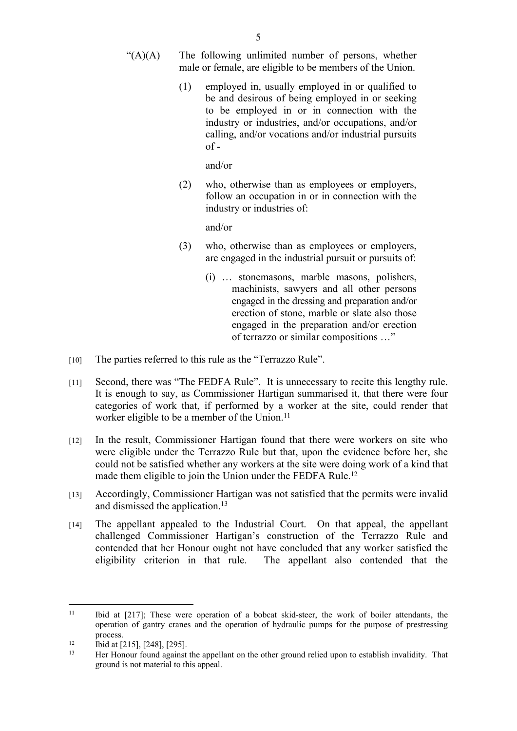- $\mathcal{L}(A)(A)$  The following unlimited number of persons, whether male or female, are eligible to be members of the Union.
	- (1) employed in, usually employed in or qualified to be and desirous of being employed in or seeking to be employed in or in connection with the industry or industries, and/or occupations, and/or calling, and/or vocations and/or industrial pursuits  $of -$

and/or

(2) who, otherwise than as employees or employers, follow an occupation in or in connection with the industry or industries of:

and/or

- (3) who, otherwise than as employees or employers, are engaged in the industrial pursuit or pursuits of:
	- (i) … stonemasons, marble masons, polishers, machinists, sawyers and all other persons engaged in the dressing and preparation and/or erection of stone, marble or slate also those engaged in the preparation and/or erection of terrazzo or similar compositions …"
- [10] The parties referred to this rule as the "Terrazzo Rule".
- [11] Second, there was "The FEDFA Rule". It is unnecessary to recite this lengthy rule. It is enough to say, as Commissioner Hartigan summarised it, that there were four categories of work that, if performed by a worker at the site, could render that worker eligible to be a member of the Union.<sup>11</sup>
- [12] In the result, Commissioner Hartigan found that there were workers on site who were eligible under the Terrazzo Rule but that, upon the evidence before her, she could not be satisfied whether any workers at the site were doing work of a kind that made them eligible to join the Union under the FEDFA Rule.<sup>12</sup>
- [13] Accordingly, Commissioner Hartigan was not satisfied that the permits were invalid and dismissed the application.<sup>13</sup>
- [14] The appellant appealed to the Industrial Court. On that appeal, the appellant challenged Commissioner Hartigan's construction of the Terrazzo Rule and contended that her Honour ought not have concluded that any worker satisfied the eligibility criterion in that rule. The appellant also contended that the

<sup>&</sup>lt;sup>11</sup> Ibid at [217]; These were operation of a bobcat skid-steer, the work of boiler attendants, the operation of gantry cranes and the operation of hydraulic pumps for the purpose of prestressing process.

 $12$  Ibid at [215], [248], [295].

<sup>13</sup> Her Honour found against the appellant on the other ground relied upon to establish invalidity. That ground is not material to this appeal.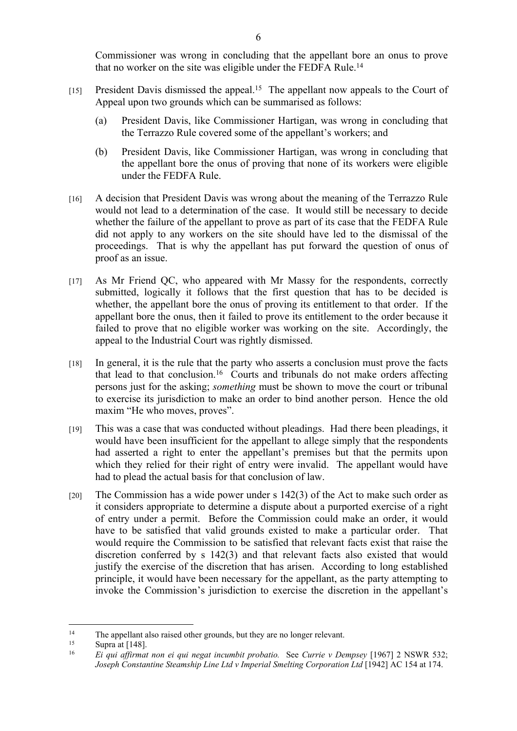Commissioner was wrong in concluding that the appellant bore an onus to prove that no worker on the site was eligible under the FEDFA Rule.<sup>14</sup>

- [15] President Davis dismissed the appeal.<sup>15</sup> The appellant now appeals to the Court of Appeal upon two grounds which can be summarised as follows:
	- (a) President Davis, like Commissioner Hartigan, was wrong in concluding that the Terrazzo Rule covered some of the appellant's workers; and
	- (b) President Davis, like Commissioner Hartigan, was wrong in concluding that the appellant bore the onus of proving that none of its workers were eligible under the FEDFA Rule.
- [16] A decision that President Davis was wrong about the meaning of the Terrazzo Rule would not lead to a determination of the case. It would still be necessary to decide whether the failure of the appellant to prove as part of its case that the FEDFA Rule did not apply to any workers on the site should have led to the dismissal of the proceedings. That is why the appellant has put forward the question of onus of proof as an issue.
- [17] As Mr Friend QC, who appeared with Mr Massy for the respondents, correctly submitted, logically it follows that the first question that has to be decided is whether, the appellant bore the onus of proving its entitlement to that order. If the appellant bore the onus, then it failed to prove its entitlement to the order because it failed to prove that no eligible worker was working on the site. Accordingly, the appeal to the Industrial Court was rightly dismissed.
- [18] In general, it is the rule that the party who asserts a conclusion must prove the facts that lead to that conclusion.<sup>16</sup> Courts and tribunals do not make orders affecting persons just for the asking; *something* must be shown to move the court or tribunal to exercise its jurisdiction to make an order to bind another person. Hence the old maxim "He who moves, proves".
- [19] This was a case that was conducted without pleadings. Had there been pleadings, it would have been insufficient for the appellant to allege simply that the respondents had asserted a right to enter the appellant's premises but that the permits upon which they relied for their right of entry were invalid. The appellant would have had to plead the actual basis for that conclusion of law.
- [20] The Commission has a wide power under s 142(3) of the Act to make such order as it considers appropriate to determine a dispute about a purported exercise of a right of entry under a permit. Before the Commission could make an order, it would have to be satisfied that valid grounds existed to make a particular order. That would require the Commission to be satisfied that relevant facts exist that raise the discretion conferred by s 142(3) and that relevant facts also existed that would justify the exercise of the discretion that has arisen. According to long established principle, it would have been necessary for the appellant, as the party attempting to invoke the Commission's jurisdiction to exercise the discretion in the appellant's

<sup>&</sup>lt;sup>14</sup> The appellant also raised other grounds, but they are no longer relevant.<br><sup>15</sup> Supra at [148]

<sup>&</sup>lt;sup>15</sup> Supra at  $[148]$ .

<sup>16</sup> *Ei qui affirmat non ei qui negat incumbit probatio.* See *Currie v Dempsey* [1967] 2 NSWR 532; *Joseph Constantine Steamship Line Ltd v Imperial Smelting Corporation Ltd* [1942] AC 154 at 174.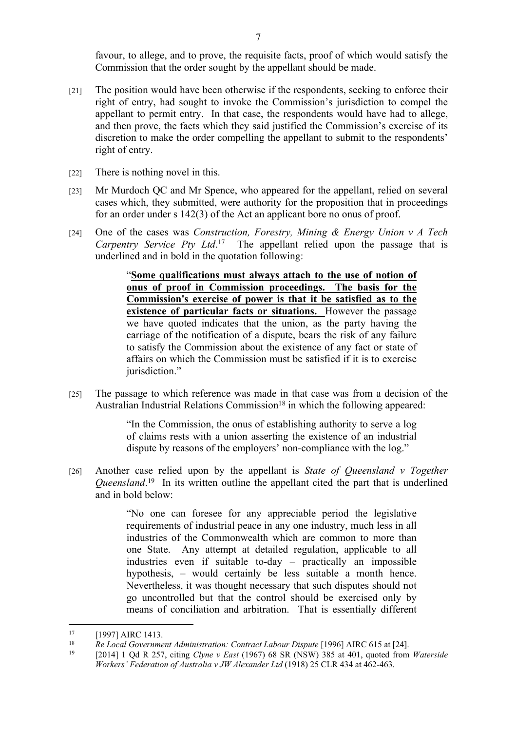favour, to allege, and to prove, the requisite facts, proof of which would satisfy the Commission that the order sought by the appellant should be made.

- [21] The position would have been otherwise if the respondents, seeking to enforce their right of entry, had sought to invoke the Commission's jurisdiction to compel the appellant to permit entry. In that case, the respondents would have had to allege, and then prove, the facts which they said justified the Commission's exercise of its discretion to make the order compelling the appellant to submit to the respondents' right of entry.
- [22] There is nothing novel in this.
- [23] Mr Murdoch QC and Mr Spence, who appeared for the appellant, relied on several cases which, they submitted, were authority for the proposition that in proceedings for an order under s 142(3) of the Act an applicant bore no onus of proof.
- [24] One of the cases was *Construction, Forestry, Mining & Energy Union v A Tech Carpentry Service Pty Ltd*. <sup>17</sup> The appellant relied upon the passage that is underlined and in bold in the quotation following:

"**Some qualifications must always attach to the use of notion of onus of proof in Commission proceedings. The basis for the Commission's exercise of power is that it be satisfied as to the existence of particular facts or situations.** However the passage we have quoted indicates that the union, as the party having the carriage of the notification of a dispute, bears the risk of any failure to satisfy the Commission about the existence of any fact or state of affairs on which the Commission must be satisfied if it is to exercise jurisdiction."

[25] The passage to which reference was made in that case was from a decision of the Australian Industrial Relations Commission<sup>18</sup> in which the following appeared:

> "In the Commission, the onus of establishing authority to serve a log of claims rests with a union asserting the existence of an industrial dispute by reasons of the employers' non-compliance with the log."

[26] Another case relied upon by the appellant is *State of Queensland v Together Queensland*. <sup>19</sup> In its written outline the appellant cited the part that is underlined and in bold below:

> "No one can foresee for any appreciable period the legislative requirements of industrial peace in any one industry, much less in all industries of the Commonwealth which are common to more than one State. Any attempt at detailed regulation, applicable to all industries even if suitable to-day – practically an impossible hypothesis, – would certainly be less suitable a month hence. Nevertheless, it was thought necessary that such disputes should not go uncontrolled but that the control should be exercised only by means of conciliation and arbitration. That is essentially different

<sup>&</sup>lt;sup>17</sup> [1997] AIRC 1413.

<sup>18</sup> *Re Local Government Administration: Contract Labour Dispute* [1996] AIRC 615 at [24].

<sup>19</sup> [2014] 1 Qd R 257, citing *Clyne v East* (1967) 68 SR (NSW) 385 at 401, quoted from *Waterside Workers' Federation of Australia v JW Alexander Ltd* (1918) 25 CLR 434 at 462-463.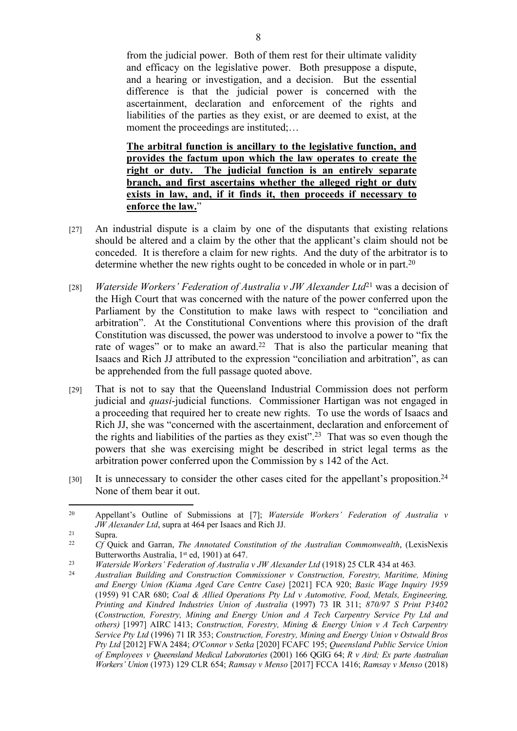from the judicial power. Both of them rest for their ultimate validity and efficacy on the legislative power. Both presuppose a dispute, and a hearing or investigation, and a decision. But the essential difference is that the judicial power is concerned with the ascertainment, declaration and enforcement of the rights and liabilities of the parties as they exist, or are deemed to exist, at the moment the proceedings are instituted;...

**The arbitral function is ancillary to the legislative function, and provides the factum upon which the law operates to create the right or duty. The judicial function is an entirely separate branch, and first ascertains whether the alleged right or duty exists in law, and, if it finds it, then proceeds if necessary to enforce the law.**"

- [27] An industrial dispute is a claim by one of the disputants that existing relations should be altered and a claim by the other that the applicant's claim should not be conceded. It is therefore a claim for new rights. And the duty of the arbitrator is to determine whether the new rights ought to be conceded in whole or in part.<sup>20</sup>
- [28] *Waterside Workers' Federation of Australia v JW Alexander Ltd*<sup>21</sup> was a decision of the High Court that was concerned with the nature of the power conferred upon the Parliament by the Constitution to make laws with respect to "conciliation and arbitration". At the Constitutional Conventions where this provision of the draft Constitution was discussed, the power was understood to involve a power to "fix the rate of wages" or to make an award.<sup>22</sup> That is also the particular meaning that Isaacs and Rich JJ attributed to the expression "conciliation and arbitration", as can be apprehended from the full passage quoted above.
- [29] That is not to say that the Queensland Industrial Commission does not perform judicial and *quasi*-judicial functions. Commissioner Hartigan was not engaged in a proceeding that required her to create new rights. To use the words of Isaacs and Rich JJ, she was "concerned with the ascertainment, declaration and enforcement of the rights and liabilities of the parties as they exist".<sup>23</sup> That was so even though the powers that she was exercising might be described in strict legal terms as the arbitration power conferred upon the Commission by s 142 of the Act.
- [30] It is unnecessary to consider the other cases cited for the appellant's proposition.<sup>24</sup> None of them bear it out.

<sup>20</sup> Appellant's Outline of Submissions at [7]; *Waterside Workers' Federation of Australia v JW Alexander Ltd*, supra at 464 per Isaacs and Rich JJ.

<sup>21</sup> Supra.

<sup>22</sup> *Cf* Quick and Garran, *The Annotated Constitution of the Australian Commonwealth*, (LexisNexis Butterworths Australia, 1<sup>st</sup> ed, 1901) at 647.

<sup>23</sup> *Waterside Workers' Federation of Australia v JW Alexander Ltd* (1918) 25 CLR 434 at 463*.*

<sup>24</sup> *Australian Building and Construction Commissioner v Construction, Forestry, Maritime, Mining and Energy Union (Kiama Aged Care Centre Case)* [2021] FCA 920; *Basic Wage Inquiry 1959* (1959) 91 CAR 680; *Coal & Allied Operations Pty Ltd v Automotive, Food, Metals, Engineering, Printing and Kindred Industries Union of Australia* (1997) 73 IR 311; *870/97 S Print P3402* (*Construction, Forestry, Mining and Energy Union and A Tech Carpentry Service Pty Ltd and others)* [1997] AIRC 1413; *Construction, Forestry, Mining & Energy Union v A Tech Carpentry Service Pty Ltd* (1996) 71 IR 353; *Construction, Forestry, Mining and Energy Union v Ostwald Bros Pty Ltd* [2012] FWA 2484; *O'Connor v Setka* [2020] FCAFC 195; *Queensland Public Service Union of Employees v Queensland Medical Laboratories* (2001) 166 QGIG 64; *R v Aird; Ex parte Australian Workers' Union* (1973) 129 CLR 654; *Ramsay v Menso* [2017] FCCA 1416; *Ramsay v Menso* (2018)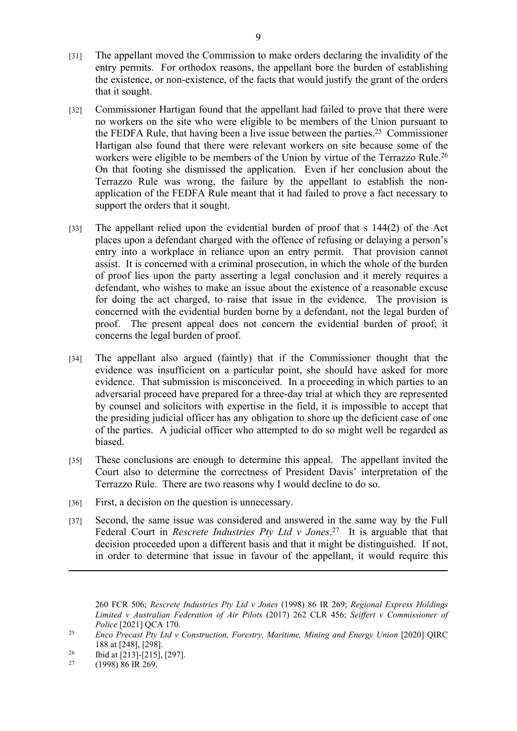- [31] The appellant moved the Commission to make orders declaring the invalidity of the entry permits. For orthodox reasons, the appellant bore the burden of establishing the existence, or non-existence, of the facts that would justify the grant of the orders that it sought.
- [32] Commissioner Hartigan found that the appellant had failed to prove that there were no workers on the site who were eligible to be members of the Union pursuant to the FEDFA Rule, that having been a live issue between the parties.<sup>25</sup> Commissioner Hartigan also found that there were relevant workers on site because some of the workers were eligible to be members of the Union by virtue of the Terrazzo Rule.<sup>26</sup> On that footing she dismissed the application. Even if her conclusion about the Terrazzo Rule was wrong, the failure by the appellant to establish the nonapplication of the FEDFA Rule meant that it had failed to prove a fact necessary to support the orders that it sought.
- [33] The appellant relied upon the evidential burden of proof that s 144(2) of the Act places upon a defendant charged with the offence of refusing or delaying a person's entry into a workplace in reliance upon an entry permit. That provision cannot assist. It is concerned with a criminal prosecution, in which the whole of the burden of proof lies upon the party asserting a legal conclusion and it merely requires a defendant, who wishes to make an issue about the existence of a reasonable excuse for doing the act charged, to raise that issue in the evidence. The provision is concerned with the evidential burden borne by a defendant, not the legal burden of proof. The present appeal does not concern the evidential burden of proof; it concerns the legal burden of proof.
- [34] The appellant also argued (faintly) that if the Commissioner thought that the evidence was insufficient on a particular point, she should have asked for more evidence. That submission is misconceived. In a proceeding in which parties to an adversarial proceed have prepared for a three-day trial at which they are represented by counsel and solicitors with expertise in the field, it is impossible to accept that the presiding judicial officer has any obligation to shore up the deficient case of one of the parties. A judicial officer who attempted to do so might well be regarded as biased.
- [35] These conclusions are enough to determine this appeal. The appellant invited the Court also to determine the correctness of President Davis' interpretation of the Terrazzo Rule. There are two reasons why I would decline to do so.
- [36] First, a decision on the question is unnecessary.
- [37] Second, the same issue was considered and answered in the same way by the Full Federal Court in *Rescrete Industries Pty Ltd v Jones*. <sup>27</sup> It is arguable that that decision proceeded upon a different basis and that it might be distinguished. If not, in order to determine that issue in favour of the appellant, it would require this

<sup>260</sup> FCR 506; *Rescrete Industries Pty Ltd v Jones* (1998) 86 IR 269; *Regional Express Holdings Limited v Australian Federation of Air Pilots* (2017) 262 CLR 456; *Seiffert v Commissioner of Police* [2021] QCA 170.

<sup>25</sup> *Enco Precast Pty Ltd v Construction, Forestry, Maritime, Mining and Energy Union* [2020] QIRC 188 at [248], [298].

<sup>&</sup>lt;sup>26</sup> Ibid at [213]-[215], [297].

<sup>27</sup> (1998) 86 IR 269.